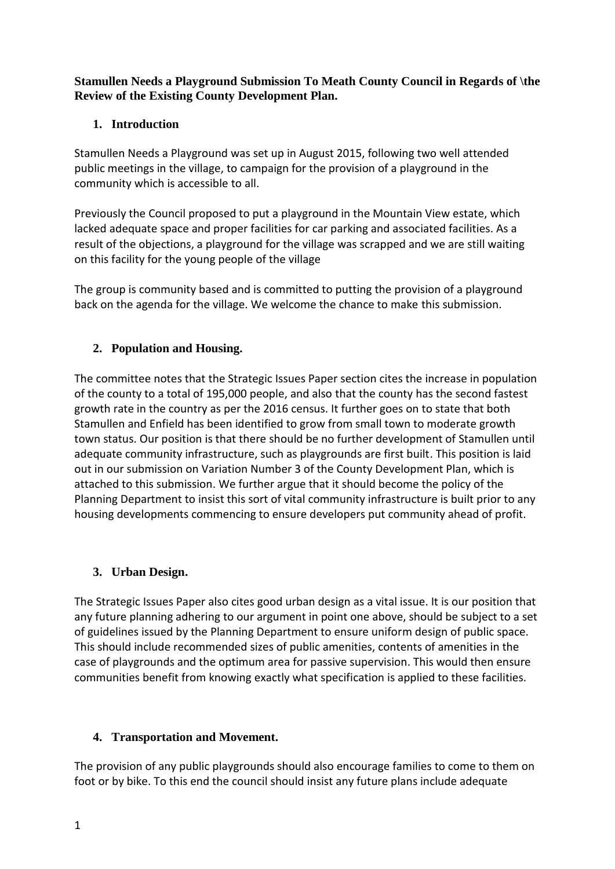**Stamullen Needs a Playground Submission To Meath County Council in Regards of \the Review of the Existing County Development Plan.**

## **1. Introduction**

Stamullen Needs a Playground was set up in August 2015, following two well attended public meetings in the village, to campaign for the provision of a playground in the community which is accessible to all.

Previously the Council proposed to put a playground in the Mountain View estate, which lacked adequate space and proper facilities for car parking and associated facilities. As a result of the objections, a playground for the village was scrapped and we are still waiting on this facility for the young people of the village

The group is community based and is committed to putting the provision of a playground back on the agenda for the village. We welcome the chance to make this submission.

# **2. Population and Housing.**

The committee notes that the Strategic Issues Paper section cites the increase in population of the county to a total of 195,000 people, and also that the county has the second fastest growth rate in the country as per the 2016 census. It further goes on to state that both Stamullen and Enfield has been identified to grow from small town to moderate growth town status. Our position is that there should be no further development of Stamullen until adequate community infrastructure, such as playgrounds are first built. This position is laid out in our submission on Variation Number 3 of the County Development Plan, which is attached to this submission. We further argue that it should become the policy of the Planning Department to insist this sort of vital community infrastructure is built prior to any housing developments commencing to ensure developers put community ahead of profit.

#### **3. Urban Design.**

The Strategic Issues Paper also cites good urban design as a vital issue. It is our position that any future planning adhering to our argument in point one above, should be subject to a set of guidelines issued by the Planning Department to ensure uniform design of public space. This should include recommended sizes of public amenities, contents of amenities in the case of playgrounds and the optimum area for passive supervision. This would then ensure communities benefit from knowing exactly what specification is applied to these facilities.

#### **4. Transportation and Movement.**

The provision of any public playgrounds should also encourage families to come to them on foot or by bike. To this end the council should insist any future plans include adequate